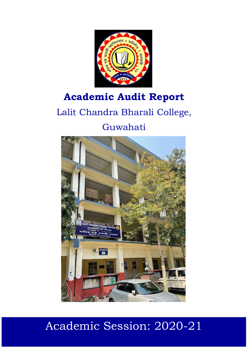

## **Academic Audit Report**

# Lalit Chandra Bharali College,



# Academic Session: 2020-21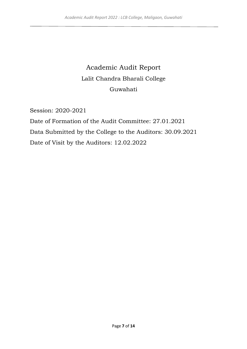### Academic Audit Report Lalit Chandra Bharali College Guwahati

Session: 2020-2021

Date of Formation of the Audit Committee: 27.01.2021 Data Submitted by the College to the Auditors: 30.09.2021 Date of Visit by the Auditors: 12.02.2022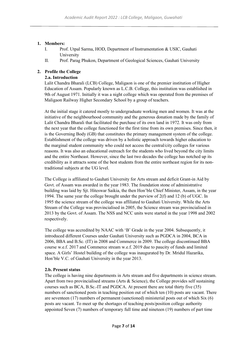#### **1. Members:**

- I. Prof. Utpal Sarma, HOD, Department of Instrumentation & USIC, Gauhati University
- II. Prof. Parag Phukon, Department of Geological Sciences, Gauhati University

#### **2. Profile the College**

#### **2.a. Introduction**

Lalit Chandra Bharali (LCB) College, Maligaon is one of the premier institution of Higher Education of Assam. Popularly known as L.C.B. College, this institution was established in 9th of August 1971. Initially it was a night college which was operated from the premises of Maligaon Railway Higher Secondary School by a group of teachers.

At the initial stage it catered mostly to undergraduate working men and women. It was at the initiative of the neighbourhood community and the generous donation made by the family of Lalit Chandra Bharali that facilitated the purchase of its own land in 1972. It was only from the next year that the college functioned for the first time from its own premises. Since then, it is the Governing Body (GB) that constitutes the primary management system of the college. Establishment of the college was driven by a holistic approach towards higher education to the marginal student community who could not access the central/city colleges for various reasons. It was also an educational outreach for the students who lived beyond the city limits and the entire Northeast. However, since the last two decades the college has notched up its credibility as it attracts some of the best students from the entire northeast region for its nontraditional subjects at the UG level.

The College is affiliated to Gauhati University for Arts stream and deficit Grant-in Aid by Govt. of Assam was awarded in the year 1983. The foundation stone of administrative building was laid by Sjt. Hiteswar Saikia, the then Hon'ble Chief Minister, Assam, in the year 1994. The same year the college brought under the purview of 2(f) and 12 (b) of UGC. In 1995 the science stream of the college was affiliated to Gauhati University. While the Arts Stream of the College was provincialised in 2005, the Science stream was provincialised in 2013 by the Govt. of Assam. The NSS and NCC units were started in the year 1998 and 2002 respectively.

The college was accredited by NAAC with 'B' Grade in the year 2004. Subsequently, it introduced different Courses under Gauhati University such as PGDCA in 2004, BCA in 2006, BBA and B.Sc. (IT) in 2008 and Commerce in 2009. The college discontinued BBA course w.e.f. 2017 and Commerce stream w.e.f. 2019 due to paucity of funds and limited space. A Girls' Hostel building of the college was inaugurated by Dr. Mridul Hazarika, Hon'ble V.C. of Gauhati University in the year 2013.

#### **2.b. Present status**

The college is having nine departments in Arts stream and five departments in science stream. Apart from two provincialised streams (Arts & Science), the College provides self sustaining courses such as BCA, B.Sc.-IT and PGDCA. At present there are total thirty five (35) numbers of sanctioned posts in teaching position out of which ten (10) posts are vacant. There are seventeen (17) numbers of permanent (sanctioned) ministerial posts out of which Six (6) posts are vacant. To meet up the shortages of teaching posts/position college authority appointed Seven (7) numbers of temporary full time and nineteen (19) numbers of part time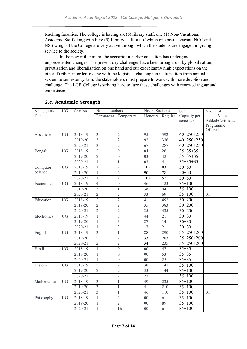teaching faculties. The college is having six (6) library staff, one (1) Non-Vacational Academic Staff along with Five (5) Library staff out of which one post is vacant. NCC and NSS wings of the College are very active through which the students are engaged in giving service to the society.

In the new millennium, the scenario in higher education has undergone unprecedented changes. The present day challenges have been brought out by globalisation, privatisation and liberalization on one hand and our exorbitantly high expectations on the other. Further, in order to cope with the logistical challenge in its transition from annual system to semester system, the stakeholders must prepare to work with more devotion and challenge. The LCB College is striving hard to face these challenges with renewed vigour and enthusiasm.

| Name of the | <b>UG</b>       | Session     | No. of Teachers |                  | No. of Students |                 | Seat             | of<br>No.            |
|-------------|-----------------|-------------|-----------------|------------------|-----------------|-----------------|------------------|----------------------|
| Dept.       |                 |             | Permanent       | Temporary        | Honours         | Regular         | Capacity per     | Value                |
|             |                 |             |                 |                  |                 |                 | semester         | Added/Certificate    |
|             |                 |             |                 |                  |                 |                 |                  | Programme<br>Offered |
| Assamese    | <b>UG</b>       | 2018-19     | $\overline{3}$  | $\overline{2}$   | 95              | 392             | $40+250+250$     |                      |
|             |                 | 2019-20     | 3               | $\overline{2}$   | 92              | 336             | $40+250+250$     |                      |
|             |                 | 2020-21     | $\overline{3}$  | $\overline{2}$   | 67              | 287             | $40+250+250$     |                      |
| Bengali     | <b>UG</b>       | 2018-19     | $\overline{2}$  | $\boldsymbol{0}$ | 04              | 26              | $35+35+35$       |                      |
|             |                 | 2019-20     | $\overline{2}$  | $\overline{0}$   | 03              | 42              | $35 + 35 + 35$   |                      |
|             |                 | 2020-21     | $\mathbf{1}$    | $\mathbf{1}$     | $\overline{03}$ | $\overline{41}$ | $35 + 35 + 35$   |                      |
| Computer    | $\overline{UG}$ | 2018-19     | $\mathbf{1}$    | $\overline{2}$   | 105             | 83              | $50 + 50$        |                      |
| Science     |                 | 2019-20     | $\mathbf{1}$    | $\overline{2}$   | 90              | 78              | $50 + 50$        |                      |
|             |                 | 2020-21     | $\mathbf{1}$    | $\overline{2}$   | 108             | 52              | $50 + 50$        |                      |
| Economics   | <b>UG</b>       | 2018-19     | $\overline{4}$  | $\overline{0}$   | 46              | 123             | $35 + 100$       |                      |
|             |                 | $2019 - 20$ | $\overline{3}$  | $\mathbf{1}$     | 38              | 94              | $35 + 100$       |                      |
|             |                 | 2020-21     | $\overline{2}$  | $\overline{2}$   | 33              | 69              | $35 + 100$       | 01                   |
| Education   | UG              | 2018-19     | $\overline{2}$  | $\overline{2}$   | 41              | 492             | $30 + 200$       |                      |
|             |                 | 2019-20     | $\overline{2}$  | $\overline{2}$   | 35              | 383             | $30 + 200$       |                      |
|             |                 | 2020-21     | $\overline{2}$  | $\overline{2}$   | $\overline{35}$ | 435             | $30 + 200$       |                      |
| Electronics | <b>UG</b>       | 2018-19     | $\mathbf{1}$    | 3                | 44              | 21              | $30 + 30$        |                      |
|             |                 | 2019-20     | $\mathbf{1}$    | $\overline{3}$   | 27              | 14              | $30 + 30$        |                      |
|             |                 | 2020-21     | $\mathbf{1}$    | 3                | 17              | 21              | $30 + 30$        |                      |
| English     | <b>UG</b>       | 2018-19     | $\overline{3}$  | $\mathbf{1}$     | 28              | 290             | $35 + 250 + 200$ |                      |
|             |                 | 2019-20     | $\overline{2}$  | $\overline{2}$   | 33              | 283             | $35 + 250 + 200$ |                      |
|             |                 | 2020-21     | $\overline{2}$  | $\overline{2}$   | $\overline{34}$ | 235             | $35 + 250 + 200$ |                      |
| Hindi       | $\overline{UG}$ | 2018-19     | $\mathbf{1}$    | $\overline{0}$   | $\overline{00}$ | 47              | $35 + 35$        |                      |
|             |                 | 2019-20     | $\mathbf{1}$    | $\overline{0}$   | $00\,$          | 53              | $35 + 35$        |                      |
|             |                 | 2020-21     | $\mathbf{1}$    | $\overline{0}$   | $00\,$          | 25              | $35 + 35$        |                      |
| History     | <b>UG</b>       | 2018-19     | $\overline{2}$  | $\overline{2}$   | 38              | 147             | $35+100$         |                      |
|             |                 | 2019-20     | $\overline{2}$  | $\overline{2}$   | 33              | 144             | $35 + 100$       |                      |
|             |                 | 2020-21     | $\overline{2}$  | $\overline{2}$   | 27              | 111             | $35 + 100$       |                      |
| Mathematics | <b>UG</b>       | 2018-19     | $\overline{3}$  | $\mathbf{1}$     | 49              | 235             | $35 + 100$       |                      |
|             |                 | 2019-20     | $\overline{3}$  | $\mathbf{1}$     | 41              | 210             | $35 + 100$       |                      |
|             |                 | 2020-21     | $\overline{3}$  | 1                | 46              | 110             | $35+100$         | 01                   |
| Philosophy  | <b>UG</b>       | 2018-19     | $\mathbf{1}$    | $\overline{2}$   | $00\,$          | 61              | $35 + 100$       |                      |
|             |                 | 2019-20     | $\mathbf{1}$    | $\overline{2}$   | 0 <sub>0</sub>  | 89              | $35 + 100$       |                      |
|             |                 | 2020-21     | $\mathbf{1}$    | 16               | $00\,$          | 61              | $35 + 100$       |                      |

#### **2.c. Academic Strength**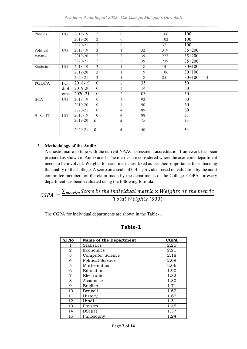| Physics           | UG   | 2018-19 | $\overline{2}$ | $\theta$         |    | 166 | 100        |    |
|-------------------|------|---------|----------------|------------------|----|-----|------------|----|
|                   |      | 2019-20 | 2              | $\theta$         |    | 102 | 100        |    |
|                   |      | 2020-21 | 2              | $\boldsymbol{0}$ |    | 37  | 100        |    |
| Political         | UG   | 2018-19 | $\overline{3}$ | $\mathbf{1}$     | 32 | 319 | $35 + 200$ |    |
| science           |      | 2019-20 | 2              | $\overline{2}$   | 39 | 227 | $35 + 200$ |    |
|                   |      | 2020-21 | $\overline{2}$ | $\overline{2}$   | 39 | 239 | $35 + 200$ |    |
| <b>Statistics</b> | UG   | 2018-19 | $\overline{3}$ | $\mathbf{1}$     | 18 | 141 | $30+100$   |    |
|                   |      | 2019-20 | $\overline{3}$ | 1                | 19 | 106 | $30+100$   |    |
|                   |      | 2020-21 | $\overline{3}$ | 1                | 18 | 85  | $30+100$   | 01 |
| <b>PGDCA</b>      | PG   | 2018-19 | $\mathbf{0}$   | $\overline{2}$   | 35 |     | 50         |    |
|                   | dipl | 2019-20 | $\mathbf{0}$   | $\overline{2}$   | 14 |     | 50         |    |
|                   | oma  | 2020-21 | $\mathbf{0}$   | $\mathfrak{2}$   | 03 |     | 50         |    |
| <b>BCA</b>        | UG   | 2018-19 | $\theta$       | $\overline{4}$   | 92 |     | 60         |    |
|                   |      | 2019-20 | $\theta$       | $\overline{4}$   | 90 |     | 60         |    |
|                   |      | 2020-21 | $\Omega$       | $\overline{4}$   | 89 |     | 60         |    |
| B. Sc. IT         | UG   | 2018-19 | $\Omega$       | $\overline{4}$   | 88 |     | 30         |    |
|                   |      | 2019-20 | $\Omega$       | $\overline{4}$   | 75 |     | 30         |    |
|                   |      |         |                |                  |    |     |            |    |
|                   |      | 2020-21 | l0             | $\overline{4}$   | 40 |     | 30         |    |
|                   |      |         |                |                  |    |     |            |    |

#### **3. Methodology of the Audit:**

A questionnaire in tune with the current NAAC assessment accreditation framework has been prepared as shown in Annexure-1. The metrics are considered where the academic department needs to be involved. Weights for each metric are fixed as per their importance for enhancing the quality of the College. A score on a scale of 0-4 is provided based on validation by the audit committee members on the claim made by the departments of the College. CGPA for every department has been evaluated using the following formula.

$$
CGPA = \frac{\sum_{metrics} Score \text{ in the individual metric} \times Weights \text{ of the metric}}{Total Weights (500)}
$$

The CGPA for individual departments are shown in the Table-1.

#### **Table-1**

| S1 No | <b>Name of the Department</b> | <b>CGPA</b> |
|-------|-------------------------------|-------------|
|       | <b>Statistics</b>             | 2.25        |
| 2     | Economics                     | 2.21        |
| 3     | Computer Science              | 2.18        |
| 4     | Political Science             | 2.09        |
| 5     | Mathematics                   | 2.06        |
| 6     | Education                     | 1.90        |
| 7     | Electronics                   | 1.82        |
| 8     | Assamese                      | 1.80        |
| 9     | English                       | 1.71        |
| 10    | Bengali                       | 1.62        |
| 11    | History                       | 1.62        |
| 12    | Hindi                         | 1.51        |
| 13    | Physics                       | 1.45        |
| 14    | BSc(IT)                       | 1.37        |
| 15    | Philosophy                    | 1.24        |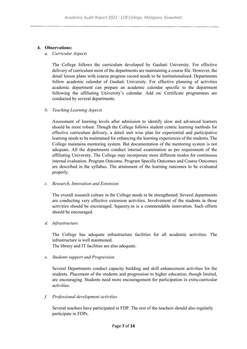#### **4. Observations:**

#### *a. Curricular Aspects*

The College follows the curriculum developed by Gauhati University. For effective delivery of curriculum most of the departments are maintaining a course file. However, the detail lesson plans with course progress record needs to be institutionalised. Departments follow academic calendar of Gauhati University. For effective planning of activities academic department can prepare an academic calendar specific to the department following the affiliating University's calendar. Add on/ Certificate programmes are conducted by several departments.

#### *b. Teaching Learning Aspects*

Assessment of learning levels after admission to identify slow and advanced learners should be more robust. Though the College follows student centric learning methods for effective curriculum delivery, a detail unit wise plan for experiential and participative learning needs to be maintained for enhancing the learning experiences of the students. The College maintains mentoring system. But documentation of the mentoring system is not adequate. All the departments conduct internal examination as per requirement of the affiliating University. The College may incorporate more different modes for continuous internal evaluation. Program Outcome, Program Specific Outcomes and Course Outcomes are described in the syllabus. The attainment of the learning outcomes to be evaluated properly.

#### *c. Research, Innovation and Extension*

The overall research culture in the College needs to be strengthened. Several departments are conducting very effective extension activities. Involvement of the students in those activities should be encouraged. Squeezy.in is a commendable innovation. Such efforts should be encouraged.

#### *d. Infrastructure*

The College has adequate infrastructure facilities for all academic activities. The infrastructure is well maintained.

The library and IT facilities are also adequate.

#### *e. Students support and Progression*

Several Departments conduct capacity building and skill enhancement activities for the students. Placement of the students and progression to higher education, though limited, are encouraging. Students need more encouragement for participation in extra-curricular activities.

#### *f. Professional development activities*

Several teachers have participated in FDP. The rest of the teachers should also regularly participate in FDPs.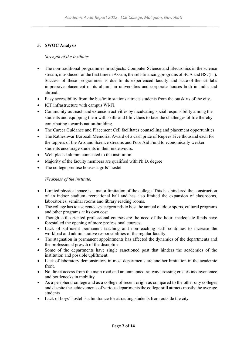#### **5. SWOC Analysis**

#### *Strength of the Institute:*

- The non-traditional programmes in subjects: Computer Science and Electronics in the science stream, introduced for the first time in Assam, the self-financing programs of BCA and BSc(IT). Success of these programmes is due to its experienced faculty and state-of-the art labs impressive placement of its alumni in universities and corporate houses both in India and abroad.
- Easy accessibility from the bus/train stations attracts students from the outskirts of the city.
- ICT infrastructure with campus Wi-Fi.
- Community outreach and extension activities by inculcating social responsibility among the students and equipping them with skills and life values to face the challenges of life thereby contributing towards nation-building.
- The Career Guidance and Placement Cell facilitates counselling and placement opportunities.
- The Ratneshwar Borooah Memorial Award of a cash prize of Rupees Five thousand each for the toppers of the Arts and Science streams and Poor Aid Fund to economically weaker students encourage students in their endeavours.
- Well placed alumni connected to the institution.
- Majority of the faculty members are qualified with Ph.D. degree
- The college premise houses a girls' hostel

#### *Weakness of the institute:*

- Limited physical space is a major limitation of the college. This has hindered the construction of an indoor stadium, recreational hall and has also limited the expansion of classrooms, laboratories, seminar rooms and library reading rooms.
- The college has to use rented space/grounds to host the annual outdoor sports, cultural programs and other programs at its own cost
- Though skill oriented professional courses are the need of the hour, inadequate funds have forestalled the opening of more professional courses.
- Lack of sufficient permanent teaching and non-teaching staff continues to increase the workload and administrative responsibilities of the regular faculty.
- The stagnation in permanent appointments has affected the dynamics of the departments and the professional growth of the discipline.
- Some of the departments have single sanctioned post that hinders the academics of the institution and possible upliftment.
- Lack of laboratory demonstrators in most departments are another limitation in the academic front.
- No direct access from the main road and an unmanned railway crossing creates inconvenience and bottlenecks in mobility
- As a peripheral college and as a college of recent origin as compared to the other city colleges and despite the achievements of various departments the college still attracts mostly the average students
- Lack of boys' hostel is a hindrance for attracting students from outside the city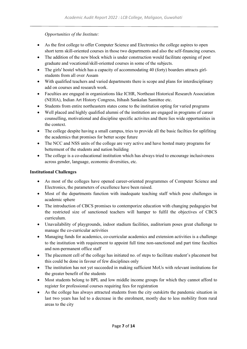#### *Opportunities of the Institute:*

- As the first college to offer Computer Science and Electronics the college aspires to open short term skill-oriented courses in those two departments and also the self-financing courses.
- The addition of the new block which is under construction would facilitate opening of post graduate and vocational/skill-oriented courses in some of the subjects.
- The girls' hostel which has a capacity of accommodating 40 (forty) boarders attracts girlstudents from all over Assam
- With qualified teachers and varied departments there is scope and plans for interdisciplinary add on courses and research work.
- Faculties are engaged in organizations like ICHR, Northeast Historical Research Association (NEHA), Indian Art History Congress, Itihash Sankalan Samittee etc.
- Students from entire northeastern states come to the institution opting for varied programs
- Well placed and highly qualified alumni of the institution are engaged in programs of career counselling, motivational and discipline specific activites and there lies wide opportunities in the context.
- The college despite having a small campus, tries to provide all the basic facilties for uplifiting the academics that promises for better scope future
- The NCC and NSS units of the college are very active and have hosted many programs for betterment of the students and nation building
- The college is a co-educational institution which has always tried to encourage inclusiveness across gender, language, economic diversities, etc.

#### **Institutional Challenges**

- As most of the colleges have opened career-oriented programmes of Computer Science and Electronics, the parameters of excellence have been raised.
- Most of the departments function with inadequate teaching staff which pose challenges in academic sphere
- The introduction of CBCS promises to contemporize education with changing pedagogies but the restricted size of sanctioned teachers will hamper to fulfil the objectives of CBCS curriculum.
- Unavailability of playgrounds, indoor stadium facilities, auditorium poses great challenge to manage the co-curricular activities
- Managing funds for academics, co-curricular academics and extension activities is a challenge to the institution with requirement to appoint full time non-sanctioned and part time faculties and non-permanent office staff
- The placement cell of the college has initiated no. of steps to facilitate student's placement but this could be done in favour of few disciplines only
- The institution has not yet succeeded in making sufficient MoUs with relevant institutions for the greater benefit of the students
- Most students belong to BPL and low middle income groups for which they cannot afford to register for professional courses requiring fees for registration
- As the college has always attracted students from the city outskirts the pandemic situation in last two years has led to a decrease in the enrolment, mostly due to less mobility from rural areas to the city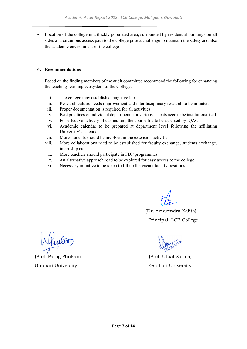• Location of the college in a thickly populated area, surrounded by residential buildings on all sides and circuitous access path to the college pose a challenge to maintain the safety and also the academic environment of the college

#### **6. Recommendations**

Based on the finding members of the audit committee recommend the following for enhancing the teaching-learning ecosystem of the College:

- i. The college may establish a language lab
- ii. Research culture needs improvement and interdisciplinary research to be initiated
- iii. Proper documentation is required for all activities
- iv. Best practices of individual departments for various aspects need to be institutionalised.
- v. For effective delivery of curriculum, the course file to be assessed by IQAC
- vi. Academic calendar to be prepared at department level following the affiliating University's calendar
- vii. More students should be involved in the extension activities
- viii. More collaborations need to be established for faculty exchange, students exchange, internship etc.
- ix. More teachers should participate in FDP programmes
- x. An alternative approach road to be explored for easy access to the college
- xi. Necessary initiative to be taken to fill up the vacant faculty positions

(

 (Dr. Amarendra Kalita) Principal, LCB College

(Prof. Parag Phukan) (Prof. Utpal Sarma) Gauhati University Gauhati University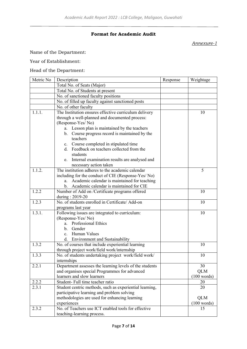#### **Format for Academic Audit**

#### *Annexure-1*

Name of the Department:

#### Year of Establishment:

#### Head of the Department:

| Metric No | Description                                                            | Response | Weightage   |
|-----------|------------------------------------------------------------------------|----------|-------------|
|           | Total No. of Seats (Major)                                             |          |             |
|           | Total No. of Students at present                                       |          |             |
|           | No. of sanctioned faculty positions                                    |          |             |
|           | No. of filled up faculty against sanctioned posts                      |          |             |
|           | No. of other faculty                                                   |          |             |
| 1.1.1.    | The Institution ensures effective curriculum delivery                  |          | 10          |
|           | through a well-planned and documented process:                         |          |             |
|           | (Response-Yes/No)                                                      |          |             |
|           | Lesson plan is maintained by the teachers<br>a.                        |          |             |
|           | Course progress record is maintained by the<br>b.                      |          |             |
|           | teachers                                                               |          |             |
|           | c. Course completed in stipulated time                                 |          |             |
|           | d. Feedback on teachers collected from the                             |          |             |
|           | students                                                               |          |             |
|           | Internal examination results are analysed and<br>e.                    |          |             |
|           | necessary action taken                                                 |          |             |
| 1.1.2.    | The institution adheres to the academic calendar                       |          | 5           |
|           | including for the conduct of CIE (Response-Yes/No)                     |          |             |
|           | Academic calendar is maintained for teaching<br>a.                     |          |             |
|           | b. Academic calendar is maintained for CIE                             |          |             |
| 1.2.2     | Number of Add on /Certificate programs offered                         |          | 10          |
|           | during: 2019-20                                                        |          |             |
| 1.2.3     | No. of students enrolled in Certificate/ Add-on                        |          | 10          |
|           | programs last year                                                     |          |             |
| 1.3.1.    | Following issues are integrated to curriculum:                         |          | 10          |
|           | (Response-Yes/No)                                                      |          |             |
|           | a. Professional Ethics                                                 |          |             |
|           | b. Gender                                                              |          |             |
|           | c. Human Values                                                        |          |             |
|           | d. Environment and Sustainability                                      |          |             |
| 1.3.2     | No. of courses that include experiential learning                      |          | 10          |
| 1.3.3     | through project work/field work/internship                             |          |             |
|           | No. of students undertaking project work/field work/                   |          | 10          |
| 2.2.1     | internships<br>Department assesses the learning levels of the students |          | 30          |
|           | and organises special Programmes for advanced                          |          | <b>QLM</b>  |
|           | learners and slow learners                                             |          | (100 words) |
| 2.2.2     | Student- Full time teacher ratio                                       |          | 20          |
| 2.3.1     | Student centric methods, such as experiential learning,                |          | 20          |
|           | participative learning and problem solving                             |          |             |
|           | methodologies are used for enhancing learning                          |          | <b>QLM</b>  |
|           | experiences                                                            |          | (100 words) |
| 2.3.2     | No. of Teachers use ICT enabled tools for effective                    |          | 15          |
|           | teaching-learning process.                                             |          |             |
|           |                                                                        |          |             |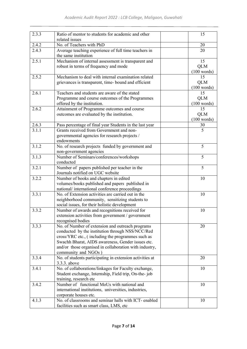| 2.3.3 | Ratio of mentor to students for academic and other<br>related issues                      | 15                |
|-------|-------------------------------------------------------------------------------------------|-------------------|
| 2.4.2 | No. of Teachers with PhD                                                                  | 20                |
| 2.4.3 | Average teaching experience of full time teachers in                                      | 20                |
|       | the same institution                                                                      |                   |
| 2.5.1 | Mechanism of internal assessment is transparent and                                       | 15                |
|       | robust in terms of frequency and mode                                                     | <b>QLM</b>        |
|       |                                                                                           | (100 words)       |
| 2.5.2 | Mechanism to deal with internal examination related                                       | 15                |
|       | grievances is transparent, time- bound and efficient                                      | <b>QLM</b>        |
|       |                                                                                           | (100 words)       |
| 2.6.1 | Teachers and students are aware of the stated                                             | 15                |
|       | Programme and course outcomes of the Programmes                                           | <b>QLM</b>        |
| 2.6.2 | offered by the institution.<br>Attainment of Programme outcomes and course                | (100 words)<br>15 |
|       | outcomes are evaluated by the institution.                                                | <b>QLM</b>        |
|       |                                                                                           | (100 words)       |
| 2.6.3 | Pass percentage of final year Students in the last year                                   | 30                |
| 3.1.1 | Grants received from Government and non-                                                  | 5                 |
|       | governmental agencies for research projects /                                             |                   |
|       | endowments                                                                                |                   |
| 3.1.2 | No. of research projects funded by government and                                         | 5                 |
|       | non-government agencies                                                                   |                   |
| 3.1.3 | Number of Seminars/conferences/workshops                                                  | 5                 |
|       | conducted                                                                                 |                   |
| 3.2.1 | Number of papers published per teacher in the                                             | 5                 |
|       | Journals notified on UGC website                                                          |                   |
| 3.2.2 | Number of books and chapters in edited<br>volumes/books published and papers published in | 10                |
|       | national/international conference proceedings                                             |                   |
| 3.3.1 | No. of Extension activities are carried out in the                                        | 10                |
|       | neighborhood community, sensitizing students to                                           |                   |
|       | social issues, for their holistic development                                             |                   |
| 3.3.2 | Number of awards and recognitions received for                                            | 10                |
|       | extension activities from government / government                                         |                   |
|       | recognised bodies                                                                         |                   |
| 3.3.3 | No. of Number of extension and outreach programs                                          | 20                |
|       | conducted by the institution through NSS/NCC/Red                                          |                   |
|       | cross/YRC etc., (including the programmes such as                                         |                   |
|       | Swachh Bharat, AIDS awareness, Gender issues etc.                                         |                   |
|       | and/or those organised in collaboration with industry,<br>community and NGOs)             |                   |
| 3.3.4 | No. of students participating in extension activities at                                  | 20                |
|       | 3.3.3. above                                                                              |                   |
| 3.4.1 | No. of collaborations/linkages for Faculty exchange,                                      | 10                |
|       | Student exchange, Internship, Field trip, On-the-job                                      |                   |
|       | training, research etc                                                                    |                   |
| 3.4.2 | Number of functional MoUs with national and                                               | 10                |
|       | international institutions, universities, industries,                                     |                   |
|       | corporate houses etc.                                                                     |                   |
| 4.1.3 | No. of classrooms and seminar halls with ICT- enabled                                     | 10                |
|       | facilities such as smart class, LMS, etc                                                  |                   |